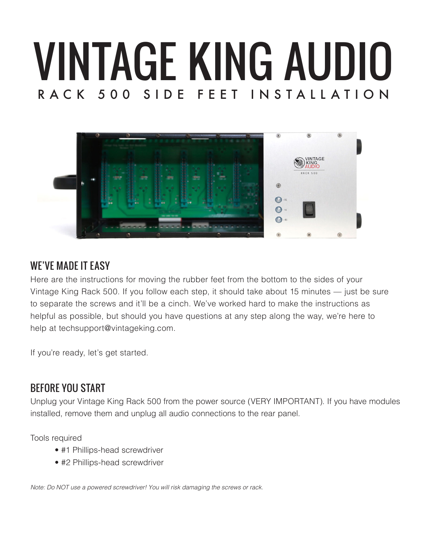# VINTAGE KING AUDIO RACK 500 SIDE FEET INSTALLATION



#### WE'VE MADE IT EASY

Here are the instructions for moving the rubber feet from the bottom to the sides of your Vintage King Rack 500. If you follow each step, it should take about 15 minutes — just be sure to separate the screws and it'll be a cinch. We've worked hard to make the instructions as helpful as possible, but should you have questions at any step along the way, we're here to help at techsupport@vintageking.com.

If you're ready, let's get started.

#### BEFORE YOU START

Unplug your Vintage King Rack 500 from the power source (VERY IMPORTANT). If you have modules installed, remove them and unplug all audio connections to the rear panel.

Tools required

- #1 Phillips-head screwdriver
- #2 Phillips-head screwdriver

*Note: Do NOT use a powered screwdriver! You will risk damaging the screws or rack.*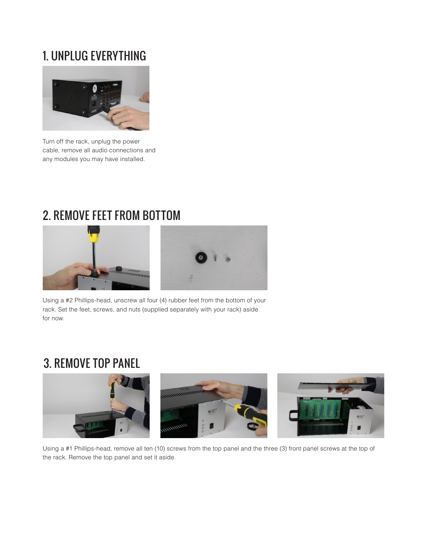## 1. UNPLUG EVERYTHING



Turn off the rack, unplug the power cable, remove all audio connections and any modules you may have installed.

## 2. REMOVE FEET FROM BOTTOM



Using a #2 Phillips-head, unscrew all four (4) rubber feet from the bottom of your rack. Set the feet, screws, and nuts (supplied separately with your rack) aside for now.

## 3. REMOVE TOP PANEL



Using a #1 Phillips-head, remove all ten (10) screws from the top panel and the three (3) front panel screws at the top of the rack. Remove the top panel and set it aside.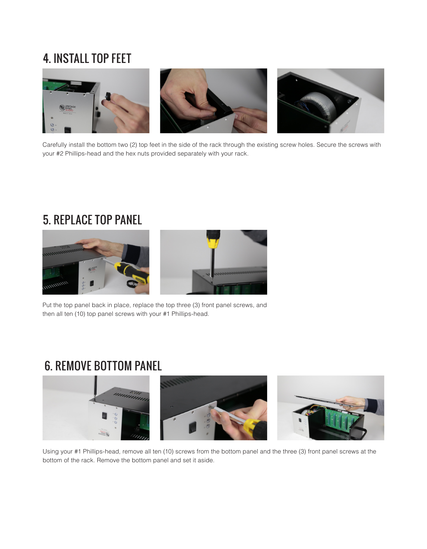## 4. INSTALL TOP FEET



Carefully install the bottom two (2) top feet in the side of the rack through the existing screw holes. Secure the screws with your #2 Phillips-head and the hex nuts provided separately with your rack.

#### 5. REPLACE TOP PANEL





Put the top panel back in place, replace the top three (3) front panel screws, and then all ten (10) top panel screws with your #1 Phillips-head.

#### 6. REMOVE BOTTOM PANEL



Using your #1 Phillips-head, remove all ten (10) screws from the bottom panel and the three (3) front panel screws at the bottom of the rack. Remove the bottom panel and set it aside.